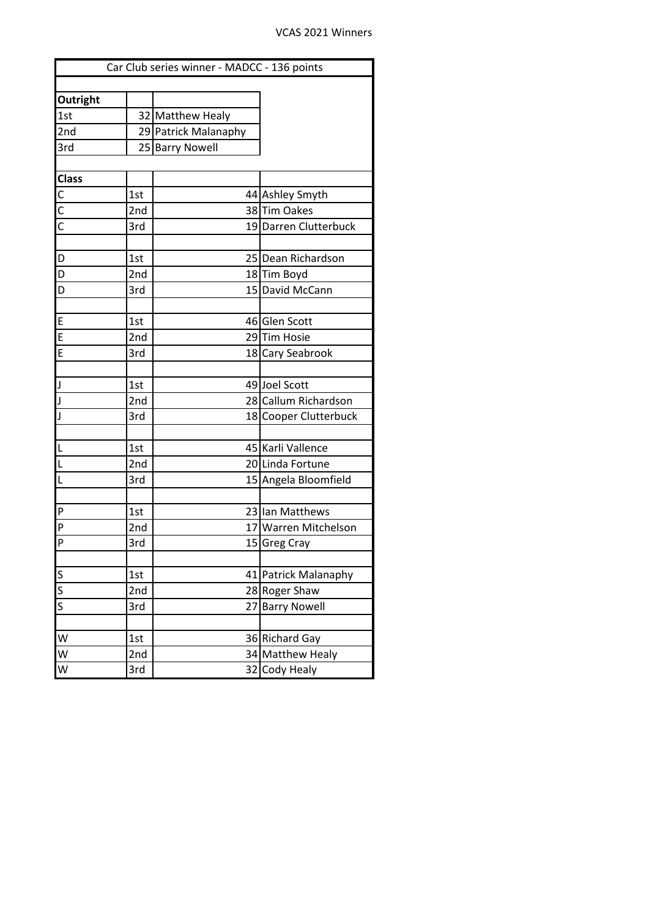| Car Club series winner - MADCC - 136 points |     |                      |                       |  |  |  |  |  |
|---------------------------------------------|-----|----------------------|-----------------------|--|--|--|--|--|
|                                             |     |                      |                       |  |  |  |  |  |
| <b>Outright</b>                             |     |                      |                       |  |  |  |  |  |
| 1st                                         |     | 32 Matthew Healy     |                       |  |  |  |  |  |
| 2nd                                         |     | 29 Patrick Malanaphy |                       |  |  |  |  |  |
| 3rd                                         |     | 25 Barry Nowell      |                       |  |  |  |  |  |
|                                             |     |                      |                       |  |  |  |  |  |
| <b>Class</b>                                |     |                      |                       |  |  |  |  |  |
| $\frac{c}{c}$                               | 1st |                      | 44 Ashley Smyth       |  |  |  |  |  |
|                                             | 2nd |                      | 38 Tim Oakes          |  |  |  |  |  |
|                                             | 3rd |                      | 19 Darren Clutterbuck |  |  |  |  |  |
|                                             |     |                      |                       |  |  |  |  |  |
| $\overline{D}$                              | 1st |                      | 25 Dean Richardson    |  |  |  |  |  |
| $\overline{D}$                              | 2nd |                      | 18 Tim Boyd           |  |  |  |  |  |
| D                                           | 3rd |                      | 15 David McCann       |  |  |  |  |  |
|                                             |     |                      |                       |  |  |  |  |  |
| E                                           | 1st |                      | 46 Glen Scott         |  |  |  |  |  |
| E                                           | 2nd |                      | 29Tim Hosie           |  |  |  |  |  |
| E                                           | 3rd |                      | 18 Cary Seabrook      |  |  |  |  |  |
|                                             |     |                      |                       |  |  |  |  |  |
| J                                           | 1st |                      | 49 Joel Scott         |  |  |  |  |  |
| J                                           | 2nd |                      | 28 Callum Richardson  |  |  |  |  |  |
|                                             | 3rd |                      | 18 Cooper Clutterbuck |  |  |  |  |  |
|                                             |     |                      |                       |  |  |  |  |  |
| L                                           | 1st |                      | 45 Karli Vallence     |  |  |  |  |  |
| L                                           | 2nd |                      | 20 Linda Fortune      |  |  |  |  |  |
| L                                           | 3rd |                      | 15 Angela Bloomfield  |  |  |  |  |  |
|                                             |     |                      |                       |  |  |  |  |  |
| P                                           | 1st |                      | 23 Ian Matthews       |  |  |  |  |  |
| P                                           | 2nd |                      | 17 Warren Mitchelson  |  |  |  |  |  |
| <b>P</b>                                    | 3rd |                      | 15 Greg Cray          |  |  |  |  |  |
|                                             |     |                      |                       |  |  |  |  |  |
| $\overline{\mathsf{S}}$                     | 1st |                      | 41 Patrick Malanaphy  |  |  |  |  |  |
| $\overline{\mathsf{S}}$                     | 2nd |                      | 28 Roger Shaw         |  |  |  |  |  |
| $\overline{\mathsf{s}}$                     | 3rd | 27                   | <b>Barry Nowell</b>   |  |  |  |  |  |
|                                             |     |                      |                       |  |  |  |  |  |
| W                                           | 1st |                      | 36 Richard Gay        |  |  |  |  |  |
| $\overline{\mathsf{w}}$                     | 2nd |                      | 34 Matthew Healy      |  |  |  |  |  |
| W                                           | 3rd | 32                   | Cody Healy            |  |  |  |  |  |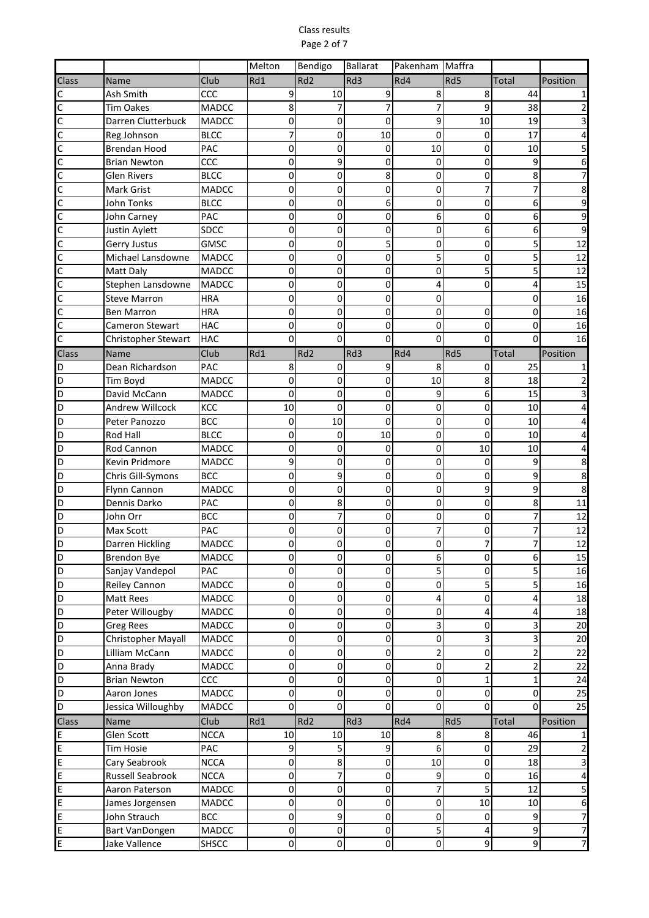## Class results Page 2 of 7

|                         |                        |              | Melton    | Bendigo         | <b>Ballarat</b> | Pakenham Maffra  |             |                |                 |
|-------------------------|------------------------|--------------|-----------|-----------------|-----------------|------------------|-------------|----------------|-----------------|
| Class                   | Name                   | Club         | Rd1       | Rd <sub>2</sub> | Rd3             | Rd4              | Rd5         | <b>Total</b>   | Position        |
| C                       | Ash Smith              | CCC          | 9         | 10              | 9               | 8                | 8           | 44             |                 |
| $\overline{\mathsf{C}}$ | <b>Tim Oakes</b>       | MADCC        | 8         | 7               | 7               | 7                | 9           | 38             |                 |
| C                       | Darren Clutterbuck     | <b>MADCC</b> | 0         | 0               | $\mathbf 0$     | 9                | 10          | 19             |                 |
| C                       | Reg Johnson            | <b>BLCC</b>  | 7         | 0               | 10              | 0                | 0           | 17             |                 |
| C                       | <b>Brendan Hood</b>    | PAC          | 0         | 0               | 0               | 10               | 0           | 10             |                 |
| $\mathsf{C}$            | <b>Brian Newton</b>    | CCC          | 0         | 9               | 0               | 0                | 0           | 9              |                 |
| C                       | <b>Glen Rivers</b>     | <b>BLCC</b>  | 0         | 0               | 8               | 0                | 0           | 8              |                 |
| $\mathsf{C}$            | <b>Mark Grist</b>      | MADCC        | 0         | 0               | 0               | 0                | 7           |                |                 |
| C                       | John Tonks             | <b>BLCC</b>  | 0         | 0               | 6               | 0                | 0           | 6              |                 |
| C                       | John Carney            | PAC          | 0         | 0               | 0               | 6                | 0           | 6              | 9               |
| C                       | Justin Aylett          | <b>SDCC</b>  | 0         | $\Omega$        | 0               | 0                | 6           | 6              | 9               |
| C                       | Gerry Justus           | <b>GMSC</b>  | 0         | 0               | 5               | 0                | 0           | 5              | 12              |
| C                       | Michael Lansdowne      | <b>MADCC</b> | 0         | 0               | 0               | 5                | 0           | 5              | 12              |
| С                       | <b>Matt Daly</b>       | <b>MADCC</b> | 0         | 0               | 0               | 0                | 5           | 5              | 12              |
| C                       | Stephen Lansdowne      | <b>MADCC</b> | 0         | 0               | 0               | 4                | 0           | 4              | 15              |
| C                       | <b>Steve Marron</b>    | <b>HRA</b>   | 0         | 0               | 0               | 0                |             | 0              | 16              |
| $\mathsf{C}$            | <b>Ben Marron</b>      | <b>HRA</b>   | 0         | 0               | 0               | 0                | 0           | 0              | 16              |
| $\mathsf{C}$            | <b>Cameron Stewart</b> | <b>HAC</b>   | 0         | 0               | 0               | 0                | 0           | 0              | 16              |
| $\overline{\mathsf{C}}$ | Christopher Stewart    | <b>HAC</b>   | 0         | 0               | 0               | $\Omega$         | 0           | O              | 16              |
| Class                   | Name                   | Club         | Rd1       | Rd <sub>2</sub> | Rd3             | Rd4              | Rd5         | <b>Total</b>   | Position        |
| D                       | Dean Richardson        | <b>PAC</b>   | 8         | $\Omega$        | 9               | 8                | 0           | 25             |                 |
| D                       | Tim Boyd               | MADCC        | 0         | 0               | 0               | 10               | 8           | 18             |                 |
| D                       | David McCann           | <b>MADCC</b> | 0         | 0               | 0               | 9                | 6           | 15             |                 |
| D                       | <b>Andrew Willcock</b> | KCC          | 10        | $\Omega$        | 0               | 0                | 0           | 10             |                 |
| D                       | Peter Panozzo          | <b>BCC</b>   | 0         | 10              | 0               | 0                | 0           | 10             |                 |
| D                       | <b>Rod Hall</b>        | <b>BLCC</b>  | 0         | $\Omega$        | 10              | 0                | 0           | 10             |                 |
| $\overline{\mathsf{D}}$ | <b>Rod Cannon</b>      | <b>MADCC</b> | 0         | 0               | $\pmb{0}$       | 0                | 10          | 10             |                 |
| D                       | <b>Kevin Pridmore</b>  | <b>MADCC</b> | 9         | 0               | 0               | 0                | 0           | 9              | 8               |
| D                       | Chris Gill-Symons      | <b>BCC</b>   | 0         | 9               | 0               | 0                | 0           | 9              | 8               |
| D                       | Flynn Cannon           | <b>MADCC</b> | 0         | $\Omega$        | 0               | 0                | 9           | 9              | 8               |
| D                       | Dennis Darko           | PAC          | 0         | 8               | 0               | 0                | 0           | 8              | 11              |
| D                       | John Orr               | <b>BCC</b>   | 0         |                 | 0               | 0                | 0           | 7              | 12              |
| D                       | Max Scott              | PAC          | 0         | 0               | 0               | 7                | 0           | 7              | 12              |
| D                       | Darren Hickling        | <b>MADCC</b> | 0         | 0               | 0               | 0                |             |                | 12              |
| D                       | <b>Brendon Bye</b>     | <b>MADCC</b> | $\pmb{0}$ | $\pmb{0}$       | $\pmb{0}$       | 6                | $\pmb{0}$   | 6              | 15              |
| D                       | Sanjay Vandepol        | PAC          | 0         | 0               | 0               | 5                | 0           | 5              | 16              |
| D                       | Reiley Cannon          | <b>MADCC</b> | 0         | 0               | 0               | 0                | 5           | 5              | 16              |
| $\overline{D}$          | Matt Rees              | MADCC        | 0         | $\mathbf 0$     | 0               | 4                | 0           | 4              | 18              |
| $\overline{\mathsf{D}}$ | Peter Willougby        | MADCC        | 0         | $\mathbf 0$     | 0               | 0                | 4           | 4              | 18              |
| D                       | <b>Greg Rees</b>       | <b>MADCC</b> | 0         | $\mathbf 0$     | 0               | 3                | 0           | 3              | 20              |
| D                       | Christopher Mayall     | MADCC        | 0         | $\mathbf 0$     | 0               | 0                | 3           | 3              | 20              |
| D                       | Lilliam McCann         | MADCC        | 0         | 0               | $\pmb{0}$       | 2                | 0           | $\overline{2}$ | 22              |
| D                       | Anna Brady             | MADCC        | 0         | 0               | 0               | 0                | 2           | 2              | 22              |
| D                       | <b>Brian Newton</b>    | CCC          | 0         | 0               | 0               | 0                | 1           | 1              | 24              |
| D                       | Aaron Jones            | MADCC        | 0         | 0               | 0               | 0                | $\mathbf 0$ | 0              | 25              |
| D                       |                        | MADCC        | 0         | 0               | 0               | 0                | $\pmb{0}$   | 0              | $\overline{25}$ |
|                         | Jessica Willoughby     |              |           |                 |                 |                  |             |                |                 |
| <b>Class</b>            | Name                   | Club         | Rd1       | Rd <sub>2</sub> | Rd3             | Rd4              | Rd5         | Total          | Position        |
| E                       | Glen Scott             | <b>NCCA</b>  | 10        | 10              | 10              | 8                | 8           | 46             |                 |
| E                       | <b>Tim Hosie</b>       | PAC          | 9         | 5               | 9               | 6                | 0           | 29             | 2               |
| E                       | Cary Seabrook          | <b>NCCA</b>  | 0         | 8               | $\pmb{0}$       | 10               | 0           | 18             | 3               |
| E                       | Russell Seabrook       | <b>NCCA</b>  | 0         | 7               | $\pmb{0}$       | $\boldsymbol{9}$ | 0           | 16             | 4               |
| E                       | Aaron Paterson         | MADCC        | 0         | $\mathbf 0$     | $\pmb{0}$       | 7                | 5           | 12             | 5               |
| E                       | James Jorgensen        | MADCC        | 0         | $\mathbf 0$     | 0               | 0                | 10          | 10             | 6               |
| E                       | John Strauch           | <b>BCC</b>   | 0         | 9               | 0               | 0                | 0           | 9              | 7               |
| E                       | <b>Bart VanDongen</b>  | MADCC        | 0         | $\pmb{0}$       | $\pmb{0}$       | 5                | 4           | 9              | 7               |
| E                       | Jake Vallence          | SHSCC        | 0         | $\pmb{0}$       | 0               | 0                | 9           | 9              |                 |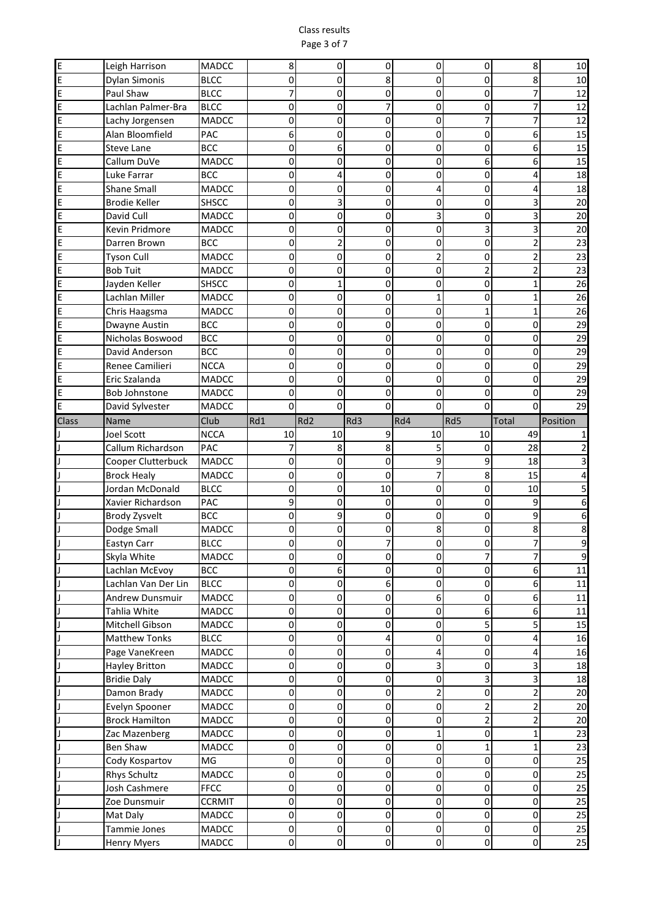## Class results Page 3 of 7

| E            | Leigh Harrison                  | <b>MADCC</b>         | 8                | 0               | 0         | 0        | 0                       | 8              | 10              |
|--------------|---------------------------------|----------------------|------------------|-----------------|-----------|----------|-------------------------|----------------|-----------------|
| E            | Dylan Simonis                   | <b>BLCC</b>          | 0                | 0               | 8         | 0        | 0                       | 8              | 10              |
| E            | Paul Shaw                       | <b>BLCC</b>          | 7                | 0               | 0         | 0        | 0                       | 7              | 12              |
| E            | Lachlan Palmer-Bra              | <b>BLCC</b>          | 0                | 0               | 7         | 0        | 0                       | 7              | 12              |
| E            | Lachy Jorgensen                 | MADCC                | 0                | 0               | 0         | 0        | 7                       | 7              | 12              |
| E            | Alan Bloomfield                 | PAC                  | 6                | $\Omega$        | 0         | 0        | 0                       | 6              | 15              |
| E            | Steve Lane                      | <b>BCC</b>           | 0                | 6               | 0         | 0        | 0                       | 6              | 15              |
| E            | Callum DuVe                     | MADCC                | 0                | 0               | 0         | 0        | 6                       | 6              | 15              |
| E            | Luke Farrar                     | <b>BCC</b>           | 0                | 4               | 0         | 0        | 0                       | 4              | 18              |
| E            | <b>Shane Small</b>              | <b>MADCC</b>         | 0                | $\mathbf 0$     | 0         | 4        | 0                       | 4              | 18              |
| E            | <b>Brodie Keller</b>            | <b>SHSCC</b>         | 0                | 3               | 0         | 0        | 0                       | 3              | 20              |
| E            | David Cull                      | MADCC                | 0                | 0               | 0         | 3        | 0                       | 3              | 20              |
| E            | Kevin Pridmore                  | MADCC                | 0                | $\Omega$        | 0         | 0        | 3                       | 3              | 20              |
| E            | Darren Brown                    | <b>BCC</b>           | 0                | 2               | 0         | 0        | 0                       | $\overline{2}$ | 23              |
| E            | <b>Tyson Cull</b>               | MADCC                | 0                | 0               | 0         | 2        | 0                       | 2              | 23              |
| E            | <b>Bob Tuit</b>                 | <b>MADCC</b>         | 0                | 0               | 0         | 0        | $\overline{2}$          | $\overline{2}$ | 23              |
| E            | Jayden Keller                   | <b>SHSCC</b>         | 0                | 1               | 0         | 0        | 0                       | $\mathbf{1}$   | $\overline{26}$ |
| E            | Lachlan Miller                  | MADCC                | 0                | 0               | 0         | 1        | 0                       | 1              | 26              |
| E            | Chris Haagsma                   | <b>MADCC</b>         | 0                | 0               | 0         | 0        | $\mathbf{1}$            | $\mathbf{1}$   | 26              |
| E            | Dwayne Austin                   | <b>BCC</b>           | 0                | 0               | 0         | 0        | 0                       | 0              | 29              |
| E            | Nicholas Boswood                | <b>BCC</b>           | 0                | 0               | 0         | 0        | 0                       | 0              | 29              |
| E            | David Anderson                  | <b>BCC</b>           | 0                | 0               | 0         | 0        | 0                       | 0              | 29              |
| E            | Renee Camilieri                 | <b>NCCA</b>          | 0                | 0               | 0         | 0        | 0                       | 0              | 29              |
| E            | Eric Szalanda                   | <b>MADCC</b>         | 0                | 0               | 0         | 0        | 0                       | 0              | 29              |
| E            | <b>Bob Johnstone</b>            | MADCC                | 0                | 0               | 0         | 0        | 0                       | 0              | 29              |
| E            | David Sylvester                 | MADCC                | 0                | $\Omega$        | 0         | $\Omega$ | $\mathbf 0$             | 0              | 29              |
| <b>Class</b> | <b>Name</b>                     | Club                 | Rd1              | Rd <sub>2</sub> | Rd3       | Rd4      | Rd5                     | <b>Total</b>   | Position        |
|              | Joel Scott                      | <b>NCCA</b>          | 10               | 10              | 9         | 10       | 10                      | 49             |                 |
| IJ           | Callum Richardson               | PAC                  |                  | 8               | 8         | 5        | 0                       | 28             |                 |
|              | Cooper Clutterbuck              | <b>MADCC</b>         | 0                | 0               | 0         | 9        | 9                       | 18             |                 |
|              |                                 |                      |                  |                 |           |          |                         |                |                 |
|              |                                 |                      | 0                | 0               | 0         | 7        |                         |                |                 |
|              | <b>Brock Healy</b>              | <b>MADCC</b>         | 0                | 0               |           | 0        | 8<br>0                  | 15             |                 |
|              | Jordan McDonald                 | <b>BLCC</b>          | 9                | 0               | 10        | 0        | 0                       | 10<br>9        |                 |
|              | Xavier Richardson               | PAC                  | 0                | 9               | 0<br>0    | 0        | 0                       | 9              | 6               |
|              | Brody Zysvelt                   | <b>BCC</b><br>MADCC  | 0                | 0               | 0         | 8        | 0                       | 8              | 8               |
|              | Dodge Small                     | <b>BLCC</b>          | 0                | 0               |           | 0        | 0                       |                | 9               |
|              | Eastyn Carr                     |                      |                  | 0               |           |          |                         |                |                 |
| J            | Skyla White                     | MADCC                | $\mathbf 0$<br>0 | 6               | 0<br>0    | 0<br>0   | 7<br>0                  | 7<br>$6 \mid$  | 9               |
| J            | Lachlan McEvoy                  | <b>BCC</b>           |                  | 0               |           | 0        |                         |                | $11\,$          |
| μ            | Lachlan Van Der Lin             | <b>BLCC</b><br>MADCC | 0<br>0           | 0               | 6         |          | 0                       | $6 \mid$<br>6  | 11              |
| J<br>IJ      | Andrew Dunsmuir<br>Tahlia White | MADCC                | 0                | 0               | 0<br>0    | 6<br>0   | 0<br>6                  | 6              | 11<br>$11\,$    |
| IJ           | Mitchell Gibson                 | MADCC                | 0                | $\pmb{0}$       | 0         | 0        | 5                       | 5              | 15              |
|              | <b>Matthew Tonks</b>            | <b>BLCC</b>          | 0                | 0               | 4         | 0        | 0                       | 4              | 16              |
|              | Page VaneKreen                  | MADCC                | 0                | 0               | 0         | 4        | 0                       | 4              | 16              |
|              | Hayley Britton                  | MADCC                | 0                | 0               | 0         | 3        | 0                       | 3              | 18              |
|              | <b>Bridie Daly</b>              | <b>MADCC</b>         | 0                | 0               | 0         | 0        | 3                       | 3              | 18              |
|              |                                 | MADCC                | 0                | 0               | 0         | 2        | 0                       | $\overline{2}$ |                 |
|              | Damon Brady<br>Evelyn Spooner   | MADCC                | 0                | 0               | 0         | 0        | 2                       | 2              | 20<br>20        |
|              | <b>Brock Hamilton</b>           | MADCC                | 0                | $\pmb{0}$       | 0         | 0        | $\overline{\mathbf{c}}$ | 2              | 20              |
|              |                                 | MADCC                | 0                | 0               | 0         | 1        | 0                       | 1              |                 |
| IJ           | Zac Mazenberg<br>Ben Shaw       | MADCC                | 0                | 0               | 0         | 0        | 1                       | 1              | 23              |
| J            | Cody Kospartov                  | MG                   | 0                | 0               | $\pmb{0}$ | 0        | 0                       | 0              | 23              |
| IJ           |                                 | MADCC                | 0                | 0               | 0         | 0        | 0                       | 0              | 25              |
|              | Rhys Schultz                    |                      | 0                | 0               |           | 0        |                         | 0              | 25              |
|              | Josh Cashmere                   | <b>FFCC</b>          | 0                | $\pmb{0}$       | 0         | 0        | 0<br>0                  | 0              | 25              |
|              | Zoe Dunsmuir                    | <b>CCRMIT</b>        | 0                | $\pmb{0}$       | $\pmb{0}$ | 0        |                         | 0              | 25              |
|              | Mat Daly                        | MADCC                |                  | 0               | $\pmb{0}$ | 0        | 0                       |                | 25              |
|              | Tammie Jones<br>Henry Myers     | MADCC<br>MADCC       | 0<br>0           | $\pmb{0}$       | 0<br>0    | 0        | $\pmb{0}$<br>0          | 0<br>0         | 25<br>25        |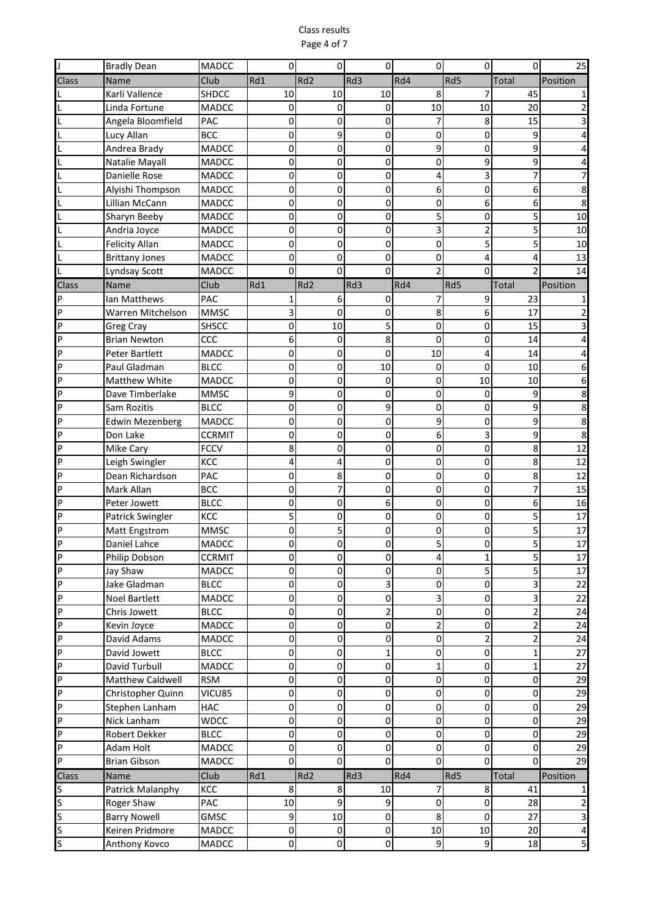## Class results Page 4 of 7

|                                  | <b>Bradly Dean</b>          | <b>MADCC</b>         |             | 0               | Ω                | 0              | 0              |                         | 25       |
|----------------------------------|-----------------------------|----------------------|-------------|-----------------|------------------|----------------|----------------|-------------------------|----------|
| Class                            | Name                        | Club                 | Rd1         | Rd <sub>2</sub> | Rd3              | Rd4            | Rd5            | Total                   | Position |
|                                  | Karli Vallence              | <b>SHDCC</b>         | 10          | 10              | 10               | 8              | 7              | 45                      |          |
| L                                | Linda Fortune               | <b>MADCC</b>         | 0           | 0               | 0                | 10             | 10             | 20                      |          |
| L                                | Angela Bloomfield           | <b>PAC</b>           | 0           | 0               | 0                | 7              | 8              | 15                      |          |
|                                  | Lucy Allan                  | <b>BCC</b>           | 0           | 9               | 0                | 0              | 0              | 9                       |          |
|                                  | Andrea Brady                | MADCC                | 0           | 0               | 0                | 9              | 0              | 9                       |          |
|                                  | Natalie Mayall              | MADCC                | 0           | 0               | 0                | 0              | 9              | 9                       |          |
|                                  | Danielle Rose               | <b>MADCC</b>         | 0           | 0               | 0                | 4              | 3              | 7                       |          |
|                                  | Alyishi Thompson            | <b>MADCC</b>         | 0           | $\Omega$        | 0                | 6              | 0              | 6                       |          |
|                                  | Lillian McCann              | <b>MADCC</b>         | 0           | 0               | 0                | 0              | 6              | 6                       |          |
|                                  | Sharyn Beeby                | <b>MADCC</b>         | 0           | 0               | 0                | 5              | 0              | 5                       | 10       |
|                                  | Andria Joyce                | <b>MADCC</b>         | 0           | 0               | $\mathbf 0$      | 3              | 2              | 5                       | 10       |
| L                                | <b>Felicity Allan</b>       | MADCC                | 0           | 0               | 0                | 0              | 5              | 5                       | 10       |
| L                                | <b>Brittany Jones</b>       | <b>MADCC</b>         | 0           | 0               | 0                | 0              | 4              | 4                       | 13       |
|                                  | Lyndsay Scott               | <b>MADCC</b>         | 0           | $\mathbf 0$     | $\mathbf 0$      | $\overline{2}$ | 0              |                         | 14       |
| <b>Class</b>                     | Name                        | Club                 | Rd1         | Rd <sub>2</sub> | Rd3              | Rd4            | Rd5            | Total                   | Position |
| ΙP                               | Ian Matthews                | PAC                  |             | 6               | 0                | 7              | 9              | 23                      |          |
| $\overline{P}$                   | Warren Mitchelson           | <b>MMSC</b>          |             | $\Omega$        | 0                | 8              | 6              | 17                      |          |
| P                                | <b>Greg Cray</b>            | <b>SHSCC</b>         | 0           | 10              | 5                | 0              | 0              | 15                      |          |
| P                                | <b>Brian Newton</b>         | CCC                  | 6           | 0               | 8                | 0              | 0              | 14                      |          |
| P                                | Peter Bartlett              | MADCC                | 0           | 0               | 0                | 10             | 4              | 14                      |          |
| $\overline{P}$                   | Paul Gladman                | <b>BLCC</b>          | 0           | 0               | 10               | 0              | 0              | 10                      |          |
| $\overline{P}$                   | <b>Matthew White</b>        | <b>MADCC</b>         | 0           | 0               | 0                | 0              | 10             | 10                      |          |
| $\overline{P}$                   | Dave Timberlake             | <b>MMSC</b>          | 9           | 0               | 0                | 0              | 0              | 9                       | 8        |
| <b>IP</b>                        | Sam Rozitis                 | <b>BLCC</b>          | 0           | 0               | 9                | 0              | 0              | 9                       | 8        |
| <b>P</b>                         | <b>Edwin Mezenberg</b>      | <b>MADCC</b>         | 0           | 0               | 0                | 9              | 0              | 9                       | 8        |
| P                                | Don Lake                    | <b>CCRMIT</b>        | 0           | 0               | 0                | 6              | 3              | 9                       | 8        |
| P                                | Mike Cary                   | <b>FCCV</b>          | 8           | 0               | 0                | 0              | 0              | 8                       | 12       |
| P                                | Leigh Swingler              | KCC                  | 4           | 4               | 0                | 0              | 0              | 8                       | 12       |
| <b>P</b>                         | Dean Richardson             | PAC                  | 0           | 8               | 0                | 0              | 0              | 8                       | 12       |
| P                                | Mark Allan                  | <b>BCC</b>           | 0           | 7               | 0                | 0              | 0              | 7                       | 15       |
| P                                | Peter Jowett                | <b>BLCC</b>          | 0           | $\mathbf 0$     | 6                | 0              | 0              | 6                       | 16       |
| P                                | Patrick Swingler            | KCC                  |             | 0               | 0                | 0              | 0              |                         | 17       |
| P                                | Matt Engstrom               | <b>MMSC</b>          | 0           |                 | 0                | 0              | 0              |                         | 17       |
| $\overline{P}$                   | Daniel Lahce                | <b>MADCC</b>         | 0           | 0               | 0                | 5              | 0              |                         | 17       |
| $\overline{P}$<br>$\overline{P}$ | Philip Dobson               | <b>CCRMIT</b>        | $\mathbf 0$ | $\pmb{0}$       | $\pmb{0}$        | 4              | $\mathbf 1$    | $\overline{5}$          | 17       |
| P                                | Jay Shaw                    | MADCC                | 0           | 0               | 0                | 0              | 5              | 5                       | $17\,$   |
| $\overline{P}$                   | Jake Gladman                | <b>BLCC</b>          | 0           | $\pmb{0}$       | 3<br>$\mathbf 0$ | 0              | $\pmb{0}$      | 3<br>3                  | 22<br>22 |
| $\overline{P}$                   | <b>Noel Bartlett</b>        | MADCC<br><b>BLCC</b> | 0<br>0      | 0<br>0          | 2                | 3<br>0         | 0              | $\overline{2}$          | 24       |
| <b>P</b>                         | Chris Jowett<br>Kevin Joyce | MADCC                | 0           | $\pmb{0}$       | 0                | $\overline{2}$ | 0<br>0         | 2                       | 24       |
| $\overline{P}$                   | David Adams                 | MADCC                | 0           | $\mathbf 0$     | 0                | 0              | $\overline{2}$ | $\overline{\mathbf{c}}$ | 24       |
| $\overline{P}$                   | David Jowett                | <b>BLCC</b>          | 0           | $\pmb{0}$       | 1                | 0              | $\pmb{0}$      | 1                       | 27       |
| $\overline{P}$                   | David Turbull               | MADCC                | 0           | 0               | 0                | $\mathbf{1}$   | 0              | 1                       | 27       |
| $\overline{P}$                   | <b>Matthew Caldwell</b>     | <b>RSM</b>           | 0           | 0               | 0                | 0              | 0              | 0                       | 29       |
| $\overline{P}$                   | Christopher Quinn           | VICU85               | 0           | 0               | 0                | 0              | 0              | 0                       | 29       |
| $\overline{P}$                   | Stephen Lanham              | <b>HAC</b>           | 0           | 0               | 0                | 0              | 0              | 0                       | 29       |
| $\overline{P}$                   | Nick Lanham                 | <b>WDCC</b>          | 0           | 0               | 0                | 0              | 0              | 0                       | 29       |
| $\overline{P}$                   | Robert Dekker               | <b>BLCC</b>          | 0           | $\pmb{0}$       | $\pmb{0}$        | 0              | $\pmb{0}$      | 0                       | 29       |
| P                                | Adam Holt                   | MADCC                | 0           | $\pmb{0}$       | $\pmb{0}$        | $\pmb{0}$      | $\pmb{0}$      | 0                       | 29       |
| $\overline{P}$                   | <b>Brian Gibson</b>         | MADCC                | 0           | 0               | $\mathbf 0$      | 0              | 0              | 0                       | 29       |
| Class                            | Name                        | Club                 | Rd1         | Rd <sub>2</sub> | Rd3              | Rd4            | Rd5            | Total                   | Position |
| S                                | Patrick Malanphy            | KCC                  | 8           | 8               | 10               | 7              | 8              | 41                      |          |
| $\overline{\mathsf{S}}$          | Roger Shaw                  | PAC                  | 10          | 9               | 9                | 0              | $\pmb{0}$      | 28                      | 2        |
| $\overline{\mathsf{s}}$          | <b>Barry Nowell</b>         | <b>GMSC</b>          | 9           | 10              | 0                | 8              | 0              | 27                      | 3        |
| $\overline{\mathsf{S}}$          | Keiren Pridmore             | MADCC                | 0           | 0               | 0                | 10             | 10             | 20                      | 4        |
| $\mathsf{S}$                     | Anthony Kovco               | MADCC                | 0           | 0               | 0                | 9              | 9              | 18                      | 5        |
|                                  |                             |                      |             |                 |                  |                |                |                         |          |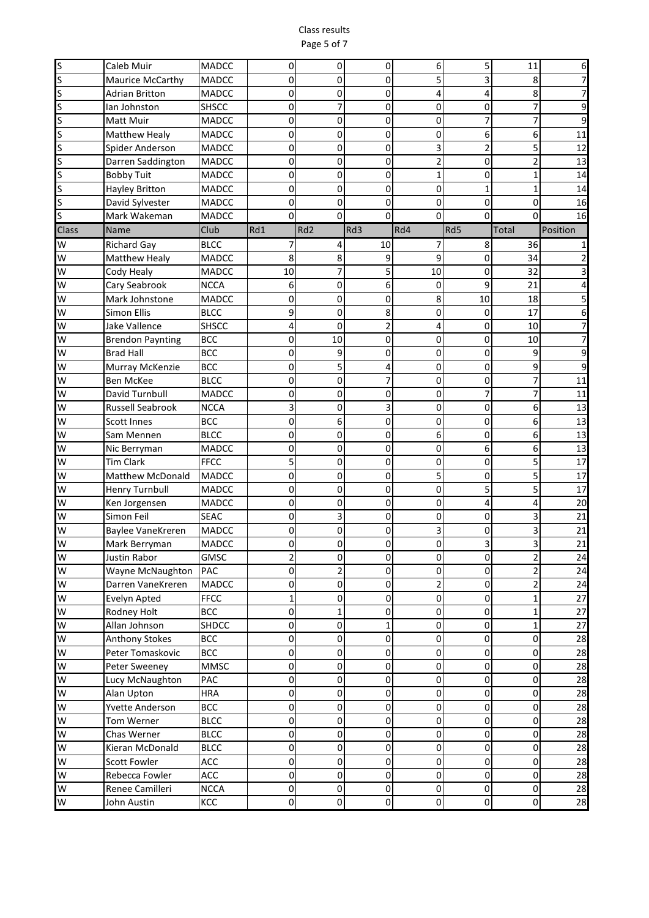#### Class results Page 5 of 7

| $rac{S}{S}$             | Caleb Muir              | <b>MADCC</b> | 0              | 0               | 0              | 6                   | 5              | 11             | 6        |
|-------------------------|-------------------------|--------------|----------------|-----------------|----------------|---------------------|----------------|----------------|----------|
|                         | Maurice McCarthy        | <b>MADCC</b> | 0              | 0               | $\Omega$       | 5                   | 3              | 8              |          |
| S                       | <b>Adrian Britton</b>   | <b>MADCC</b> | 0              | 0               | 0              | 4                   | 4              | 8              |          |
| ls                      | lan Johnston            | <b>SHSCC</b> | 0              |                 | 0              | 0                   | 0              | 7              | 9        |
| ls                      | Matt Muir               | <b>MADCC</b> | 0              | 0               | 0              | 0                   | 7              | 7              | 9        |
| $\overline{\mathsf{s}}$ | Matthew Healy           | <b>MADCC</b> | 0              | 0               | 0              | 0                   | 6              | 6              | 11       |
| S                       | Spider Anderson         | <b>MADCC</b> | 0              | 0               | 0              | 3                   | $\overline{2}$ | 5              | 12       |
| ls                      | Darren Saddington       | <b>MADCC</b> | 0              | 0               | 0              | $\overline{2}$      | 0              | $\overline{2}$ | 13       |
| S                       | <b>Bobby Tuit</b>       | <b>MADCC</b> | 0              | 0               | 0              | $\mathbf{1}$        | 0              | $\mathbf{1}$   | 14       |
| S                       | <b>Hayley Britton</b>   | <b>MADCC</b> | 0              | 0               | 0              | 0                   | $\mathbf 1$    | $\mathbf{1}$   | 14       |
| S                       | David Sylvester         | <b>MADCC</b> | 0              | 0               | 0              | 0                   | 0              | 0              | 16       |
| ls                      | Mark Wakeman            | <b>MADCC</b> | 0              | $\Omega$        | $\mathbf 0$    | 0                   | $\Omega$       | $\Omega$       | 16       |
| Class                   | Name                    | Club         | Rd1            | Rd <sub>2</sub> | Rd3            | Rd4                 | Rd5            | Total          | Position |
| W                       | <b>Richard Gay</b>      | <b>BLCC</b>  |                | 4               | 10             | 7                   | 8              | 36             |          |
| W                       | Matthew Healy           | <b>MADCC</b> | 8              | 8               | 9              | 9                   | 0              | 34             |          |
| W                       | Cody Healy              | <b>MADCC</b> | 10             | 7               | 5              | 10                  | 0              | 32             |          |
| W                       | Cary Seabrook           | <b>NCCA</b>  | 6              | 0               | 6              | 0                   | 9              | 21             |          |
| W                       | Mark Johnstone          | <b>MADCC</b> | 0              | 0               | 0              | 8                   | 10             | 18             |          |
| W                       | <b>Simon Ellis</b>      | <b>BLCC</b>  | 9              | 0               | 8              | 0                   | 0              | 17             | 6        |
| W                       | <b>Jake Vallence</b>    | <b>SHSCC</b> | 4              | 0               | $\overline{2}$ | 4                   | 0              | 10             |          |
| W                       | <b>Brendon Paynting</b> | <b>BCC</b>   | 0              | 10              | 0              | 0                   | 0              | 10             |          |
| $\overline{\mathsf{S}}$ | <b>Brad Hall</b>        | <b>BCC</b>   | 0              | 9               | 0              | 0                   | 0              | 9              | 9        |
| W                       | Murray McKenzie         | <b>BCC</b>   | 0              | 5               | 4              | 0                   | 0              | 9              | 9        |
| <b>I</b> W              | <b>Ben McKee</b>        | <b>BLCC</b>  | 0              | 0               | 7              | 0                   | 0              | 7              | 11       |
| <b>W</b>                | David Turnbull          | <b>MADCC</b> | 0              | 0               | 0              | 0                   | $\overline{7}$ | $\overline{7}$ | 11       |
| W                       | <b>Russell Seabrook</b> | <b>NCCA</b>  | 3              | 0               | 3              | 0                   | 0              | 6              | 13       |
| W                       | Scott Innes             | <b>BCC</b>   | 0              | 6               | 0              | 0                   | 0              | 6              | 13       |
| W                       | Sam Mennen              | <b>BLCC</b>  | 0              | 0               | 0              | 6                   | 0              | 6              | 13       |
| W                       | Nic Berryman            | <b>MADCC</b> | 0              | 0               | 0              | 0                   | 6              | 6              | 13       |
| W                       | <b>Tim Clark</b>        | <b>FFCC</b>  | 5              | 0               | 0              | 0                   | 0              | 5              | 17       |
| W                       | Matthew McDonald        | MADCC        | 0              | 0               | 0              | 5                   | 0              | 5              | 17       |
| W                       | <b>Henry Turnbull</b>   | <b>MADCC</b> | 0              | 0               | 0              | 0                   | 5              | 5              | 17       |
| W                       | Ken Jorgensen           | MADCC        | 0              | 0               | 0              | 0                   | 4              | 4              | 20       |
| W                       | Simon Feil              | <b>SEAC</b>  | 0              | 3               | 0              | 0                   | 0              | 3              | 21       |
| W                       | Baylee VaneKreren       | <b>MADCC</b> | 0              | 0               | 0              | 3                   | 0              | 3              | 21       |
| W                       | Mark Berryman           | <b>MADCC</b> | 0              | 0               | 0              | 0                   | 3              | 3              | 21       |
| W                       | Justin Rabor            | <b>GMSC</b>  | $\overline{2}$ | $\pmb{0}$       | 0              | $\mathbf 0$         | 0              | $\mathbf{2}$   | 24       |
| W                       | Wayne McNaughton        | PAC          | $\mathbf 0$    | 2               | 0              | 0                   | 0              | $\overline{2}$ | 24       |
| W                       | Darren VaneKreren       | <b>MADCC</b> | 0              | $\pmb{0}$       | $\pmb{0}$      | $\overline{2}$      | 0              | $\overline{2}$ | 24       |
| W                       | Evelyn Apted            | <b>FFCC</b>  | $\mathbf 1$    | 0               | 0              | $\pmb{0}$           | $\pmb{0}$      | $\mathbf{1}$   | 27       |
| W                       | Rodney Holt             | <b>BCC</b>   | 0              | 1               | 0              | 0                   | 0              | $\mathbf{1}$   | 27       |
| W                       | Allan Johnson           | <b>SHDCC</b> | 0              | $\mathbf 0$     | $\mathbf 1$    | 0                   | 0              | $\mathbf{1}$   | 27       |
| W                       | <b>Anthony Stokes</b>   | <b>BCC</b>   | 0              | $\mathbf 0$     | 0              | 0                   | 0              | 0              | 28       |
| W                       | Peter Tomaskovic        | <b>BCC</b>   | 0              | $\pmb{0}$       | 0              | $\pmb{0}$           | 0              | 0              | 28       |
| W                       | Peter Sweeney           | <b>MMSC</b>  | 0              | 0               | 0              | $\pmb{0}$           | 0              | 0              | 28       |
| W                       | Lucy McNaughton         | PAC          | 0              | 0               | 0              | 0                   | 0              | 0              | 28       |
| W                       | Alan Upton              | <b>HRA</b>   | 0              | 0               | 0              | 0                   | 0              | 0              | 28       |
| W                       | Yvette Anderson         | <b>BCC</b>   | 0              | 0               | 0              | 0                   | 0              | $\overline{0}$ | 28       |
| W                       | Tom Werner              | <b>BLCC</b>  | 0              | $\pmb{0}$       | 0              | 0                   | 0              | $\overline{0}$ | 28       |
| W                       | Chas Werner             | <b>BLCC</b>  | 0              | $\pmb{0}$       | $\pmb{0}$      | 0                   | 0              | 0              | 28       |
| W                       | Kieran McDonald         | <b>BLCC</b>  | 0              | $\pmb{0}$       | $\pmb{0}$      | $\overline{0}$      | $\pmb{0}$      | 0              | 28       |
| W                       | <b>Scott Fowler</b>     | ACC          | 0              | $\pmb{0}$       | $\mathbf 0$    | 0                   | 0              | $\overline{0}$ | 28       |
| W                       | Rebecca Fowler          | ACC          | 0              | $\pmb{0}$       | $\mathbf 0$    | $\pmb{0}$           | 0              | $\overline{0}$ | 28       |
| W                       | Renee Camilleri         | <b>NCCA</b>  | 0              | $\mathbf 0$     | 0              | 0                   | 0              | 0              | 28       |
| S                       | John Austin             | KCC          | $\mathbf 0$    | $\pmb{0}$       | 0              | $\mathsf{O}\xspace$ | 0              | $\overline{0}$ | 28       |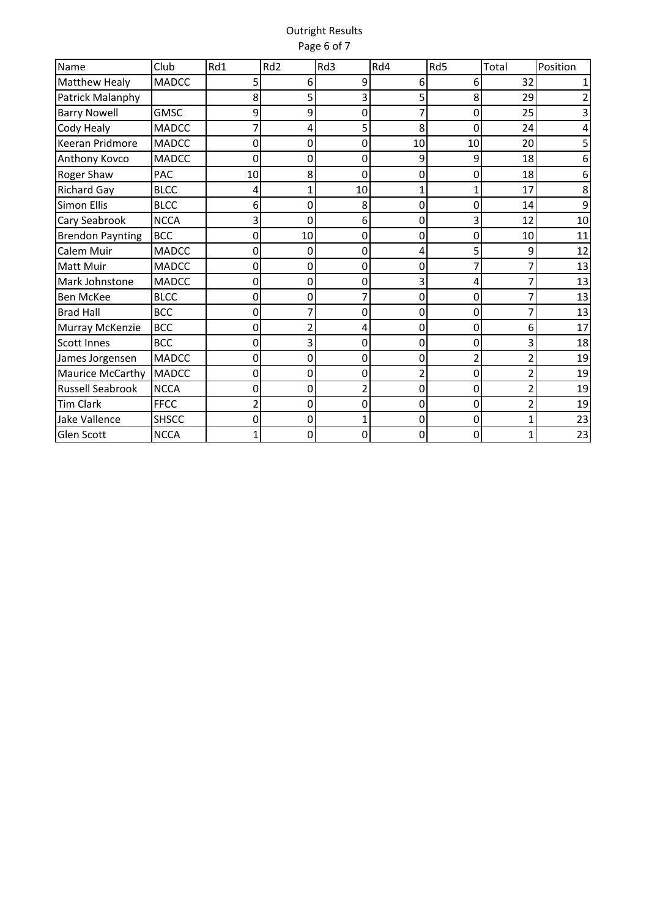## Outright Results Page 6 of 7

| Name                    | Club         | Rd1 | Rd <sub>2</sub> | Rd3                      | Rd4 | Rd5            | Total          | Position |
|-------------------------|--------------|-----|-----------------|--------------------------|-----|----------------|----------------|----------|
| Matthew Healy           | <b>MADCC</b> | 5   | 6               | 9                        | 6   | 6              | 32             |          |
| Patrick Malanphy        |              | 8   | 5               | 3                        | 5   | 8              | 29             |          |
| <b>Barry Nowell</b>     | <b>GMSC</b>  | 9   | 9               | 0                        | 7   | 0              | 25             |          |
| Cody Healy              | <b>MADCC</b> |     | 4               | 5                        | 8   | 0              | 24             |          |
| Keeran Pridmore         | <b>MADCC</b> | 0   | 0               | 0                        | 10  | 10             | 20             |          |
| Anthony Kovco           | <b>MADCC</b> | 0   | 0               | 0                        | 9   | 9              | 18             | 6        |
| Roger Shaw              | <b>PAC</b>   | 10  | 8               | 0                        | 0   | 0              | 18             | 6        |
| <b>Richard Gay</b>      | <b>BLCC</b>  | 4   | 1               | 10                       | 1   | 1              | 17             | 8        |
| <b>Simon Ellis</b>      | <b>BLCC</b>  | 6   | 0               | 8                        | 0   | 0              | 14             | 9        |
| Cary Seabrook           | <b>NCCA</b>  | 3   | ი               | 6                        | 0   | 3              | 12             | 10       |
| <b>Brendon Paynting</b> | <b>BCC</b>   | 0   | 10              | 0                        | 0   | 0              | 10             | 11       |
| Calem Muir              | <b>MADCC</b> | 0   | 0               | 0                        | 4   | 5              | 9              | 12       |
| <b>Matt Muir</b>        | <b>MADCC</b> | 0   | 0               | 0                        | 0   |                | 7              | 13       |
| Mark Johnstone          | <b>MADCC</b> | 0   | 0               | 0                        | 3   | 4              |                | 13       |
| <b>Ben McKee</b>        | <b>BLCC</b>  | 0   | 0               |                          | 0   | 0              | 7              | 13       |
| <b>Brad Hall</b>        | <b>BCC</b>   | 0   |                 | 0                        | 0   | ۵              | 7              | 13       |
| Murray McKenzie         | <b>BCC</b>   | 0   | 2               | 4                        | 0   | 0              | 6              | 17       |
| <b>Scott Innes</b>      | <b>BCC</b>   | 0   | 3               | 0                        | 0   | 0              | 3              | 18       |
| James Jorgensen         | <b>MADCC</b> | 0   | 0               | 0                        | 0   | $\overline{2}$ | $\overline{c}$ | 19       |
| Maurice McCarthy        | <b>MADCC</b> | 0   | 0               | 0                        | 2   | 0              | $\overline{2}$ | 19       |
| <b>Russell Seabrook</b> | <b>NCCA</b>  | 0   | 0               | $\overline{\phantom{a}}$ | 0   | 0              | $\overline{2}$ | 19       |
| <b>Tim Clark</b>        | <b>FFCC</b>  | 2   | 0               | 0                        | 0   | 0              | $\overline{c}$ | 19       |
| Jake Vallence           | <b>SHSCC</b> | 0   | 0               |                          | 0   | 0              | $\mathbf{1}$   | 23       |
| Glen Scott              | <b>NCCA</b>  |     | 0               | 0                        | 0   | 0              | 1              | 23       |